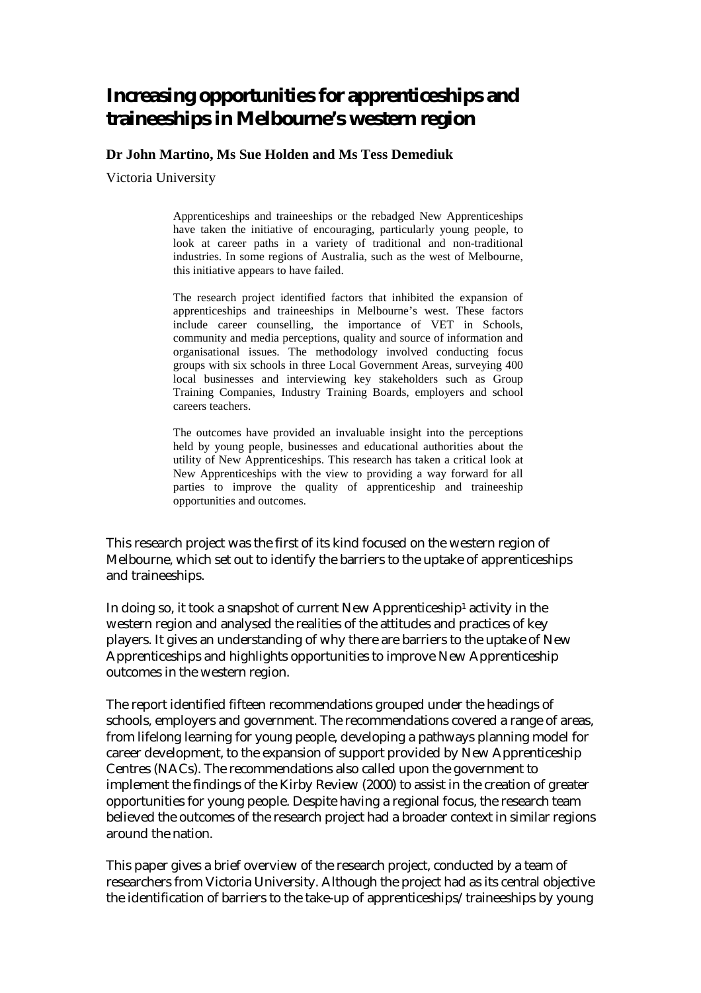# **Increasing opportunities for apprenticeships and traineeships in Melbourne's western region**

**Dr John Martino, Ms Sue Holden and Ms Tess Demediuk** 

Victoria University

Apprenticeships and traineeships or the rebadged New Apprenticeships have taken the initiative of encouraging, particularly young people, to look at career paths in a variety of traditional and non-traditional industries. In some regions of Australia, such as the west of Melbourne, this initiative appears to have failed.

The research project identified factors that inhibited the expansion of apprenticeships and traineeships in Melbourne's west. These factors include career counselling, the importance of VET in Schools, community and media perceptions, quality and source of information and organisational issues. The methodology involved conducting focus groups with six schools in three Local Government Areas, surveying 400 local businesses and interviewing key stakeholders such as Group Training Companies, Industry Training Boards, employers and school careers teachers.

The outcomes have provided an invaluable insight into the perceptions held by young people, businesses and educational authorities about the utility of New Apprenticeships. This research has taken a critical look at New Apprenticeships with the view to providing a way forward for all parties to improve the quality of apprenticeship and traineeship opportunities and outcomes.

This research project was the first of its kind focused on the western region of Melbourne, which set out to identify the barriers to the uptake of apprenticeships and traineeships.

In doing so, it took a snapshot of current New Apprenticeship1 activity in the western region and analysed the realities of the attitudes and practices of key players. It gives an understanding of why there are barriers to the uptake of New Apprenticeships and highlights opportunities to improve New Apprenticeship outcomes in the western region.

The report identified fifteen recommendations grouped under the headings of schools, employers and government. The recommendations covered a range of areas, from lifelong learning for young people, developing a pathways planning model for career development, to the expansion of support provided by New Apprenticeship Centres (NACs). The recommendations also called upon the government to implement the findings of the Kirby Review (2000) to assist in the creation of greater opportunities for young people. Despite having a regional focus, the research team believed the outcomes of the research project had a broader context in similar regions around the nation.

This paper gives a brief overview of the research project, conducted by a team of researchers from Victoria University. Although the project had as its central objective the identification of barriers to the take-up of apprenticeships/traineeships by young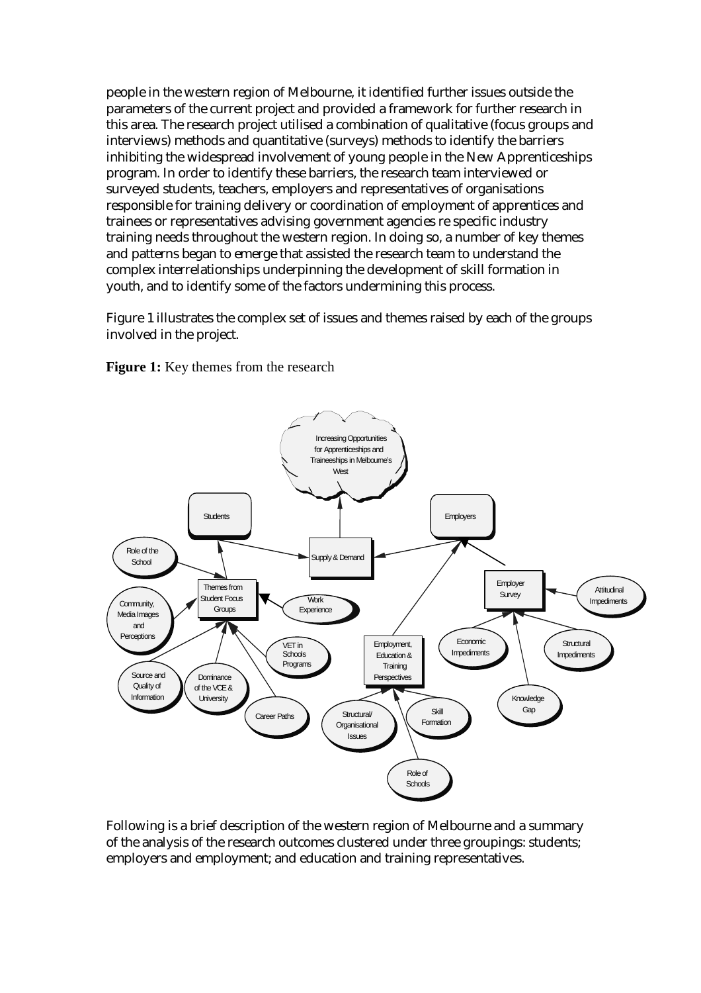people in the western region of Melbourne, it identified further issues outside the parameters of the current project and provided a framework for further research in this area. The research project utilised a combination of qualitative (focus groups and interviews) methods and quantitative (surveys) methods to identify the barriers inhibiting the widespread involvement of young people in the New Apprenticeships program. In order to identify these barriers, the research team interviewed or surveyed students, teachers, employers and representatives of organisations responsible for training delivery or coordination of employment of apprentices and trainees or representatives advising government agencies re specific industry training needs throughout the western region. In doing so, a number of key themes and patterns began to emerge that assisted the research team to understand the complex interrelationships underpinning the development of skill formation in youth, and to identify some of the factors undermining this process.

Figure 1 illustrates the complex set of issues and themes raised by each of the groups involved in the project.

**Figure 1:** Key themes from the research



Following is a brief description of the western region of Melbourne and a summary of the analysis of the research outcomes clustered under three groupings: students; employers and employment; and education and training representatives.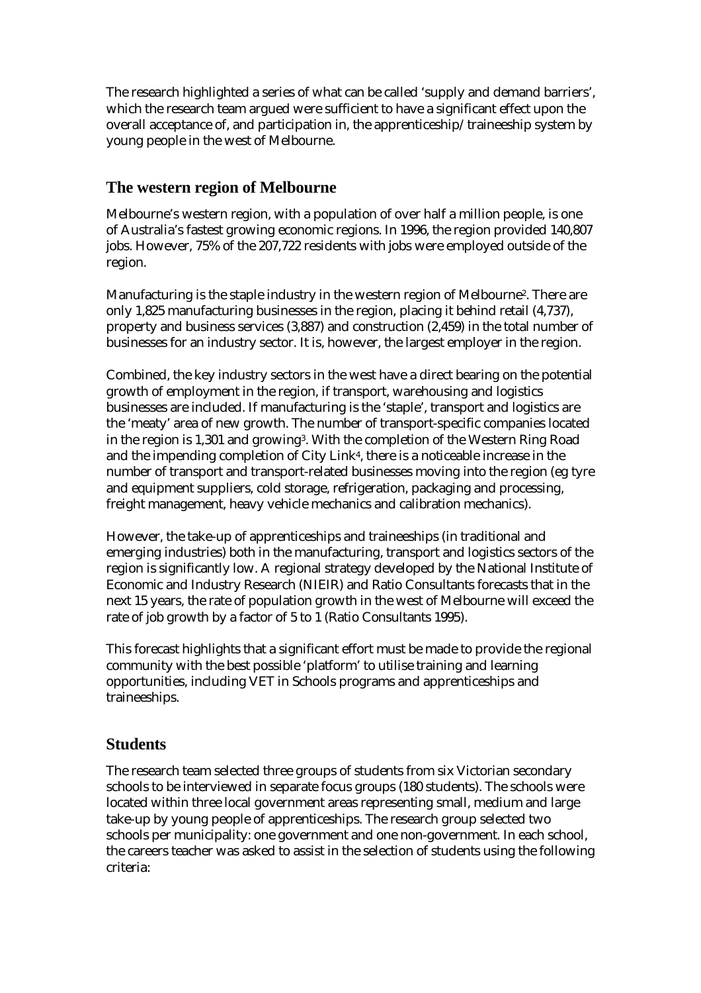The research highlighted a series of what can be called 'supply and demand barriers', which the research team argued were sufficient to have a significant effect upon the overall acceptance of, and participation in, the apprenticeship/traineeship system by young people in the west of Melbourne.

# **The western region of Melbourne**

Melbourne's western region, with a population of over half a million people, is one of Australia's fastest growing economic regions. In 1996, the region provided 140,807 jobs. However, 75% of the 207,722 residents with jobs were employed outside of the region.

Manufacturing is the staple industry in the western region of Melbourne2. There are only 1,825 manufacturing businesses in the region, placing it behind retail (4,737), property and business services (3,887) and construction (2,459) in the total number of businesses for an industry sector. It is, however, the largest employer in the region.

Combined, the key industry sectors in the west have a direct bearing on the potential growth of employment in the region, if transport, warehousing and logistics businesses are included. If manufacturing is the 'staple', transport and logistics are the 'meaty' area of new growth. The number of transport-specific companies located in the region is 1,301 and growing3. With the completion of the Western Ring Road and the impending completion of City Link4, there is a noticeable increase in the number of transport and transport-related businesses moving into the region (eg tyre and equipment suppliers, cold storage, refrigeration, packaging and processing, freight management, heavy vehicle mechanics and calibration mechanics).

However, the take-up of apprenticeships and traineeships (in traditional and emerging industries) both in the manufacturing, transport and logistics sectors of the region is significantly low. A regional strategy developed by the National Institute of Economic and Industry Research (NIEIR) and Ratio Consultants forecasts that in the next 15 years, the rate of population growth in the west of Melbourne will exceed the rate of job growth by a factor of 5 to 1 (Ratio Consultants 1995).

This forecast highlights that a significant effort must be made to provide the regional community with the best possible 'platform' to utilise training and learning opportunities, including VET in Schools programs and apprenticeships and traineeships.

# **Students**

The research team selected three groups of students from six Victorian secondary schools to be interviewed in separate focus groups (180 students). The schools were located within three local government areas representing small, medium and large take-up by young people of apprenticeships. The research group selected two schools per municipality: one government and one non-government. In each school, the careers teacher was asked to assist in the selection of students using the following criteria: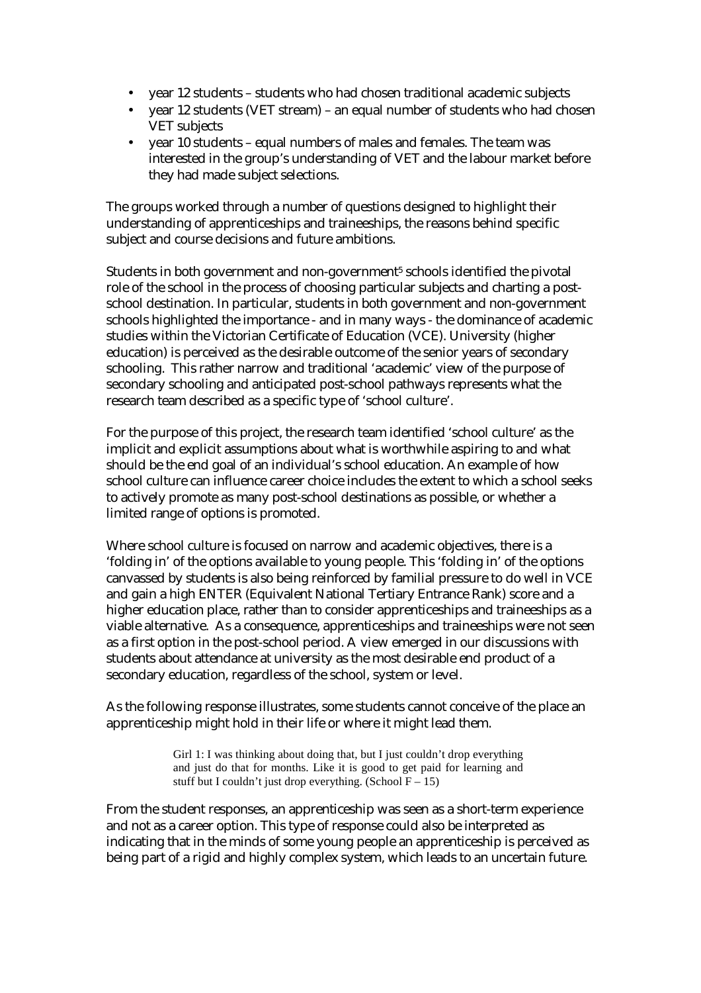- year 12 students students who had chosen traditional academic subjects
- year 12 students (VET stream) an equal number of students who had chosen VET subjects
- year 10 students equal numbers of males and females. The team was interested in the group's understanding of VET and the labour market before they had made subject selections.

The groups worked through a number of questions designed to highlight their understanding of apprenticeships and traineeships, the reasons behind specific subject and course decisions and future ambitions.

Students in both government and non-government<sup>5</sup> schools identified the pivotal role of the school in the process of choosing particular subjects and charting a postschool destination. In particular, students in both government and non-government schools highlighted the importance - and in many ways - the dominance of academic studies within the Victorian Certificate of Education (VCE). University (higher education) is perceived as the desirable outcome of the senior years of secondary schooling. This rather narrow and traditional 'academic' view of the purpose of secondary schooling and anticipated post-school pathways represents what the research team described as a specific type of 'school culture'.

For the purpose of this project, the research team identified 'school culture' as the implicit and explicit assumptions about what is worthwhile aspiring to and what should be the end goal of an individual's school education. An example of how school culture can influence career choice includes the extent to which a school seeks to actively promote as many post-school destinations as possible, or whether a limited range of options is promoted.

Where school culture is focused on narrow and academic objectives, there is a 'folding in' of the options available to young people. This 'folding in' of the options canvassed by students is also being reinforced by familial pressure to do well in VCE and gain a high ENTER (Equivalent National Tertiary Entrance Rank) score and a higher education place, rather than to consider apprenticeships and traineeships as a viable alternative. As a consequence, apprenticeships and traineeships were not seen as a first option in the post-school period. A view emerged in our discussions with students about attendance at university as the most desirable end product of a secondary education, regardless of the school, system or level.

As the following response illustrates, some students cannot conceive of the place an apprenticeship might hold in their life or where it might lead them.

> Girl 1: I was thinking about doing that, but I just couldn't drop everything and just do that for months. Like it is good to get paid for learning and stuff but I couldn't just drop everything. (School  $F - 15$ )

From the student responses, an apprenticeship was seen as a short-term experience and not as a career option. This type of response could also be interpreted as indicating that in the minds of some young people an apprenticeship is perceived as being part of a rigid and highly complex system, which leads to an uncertain future.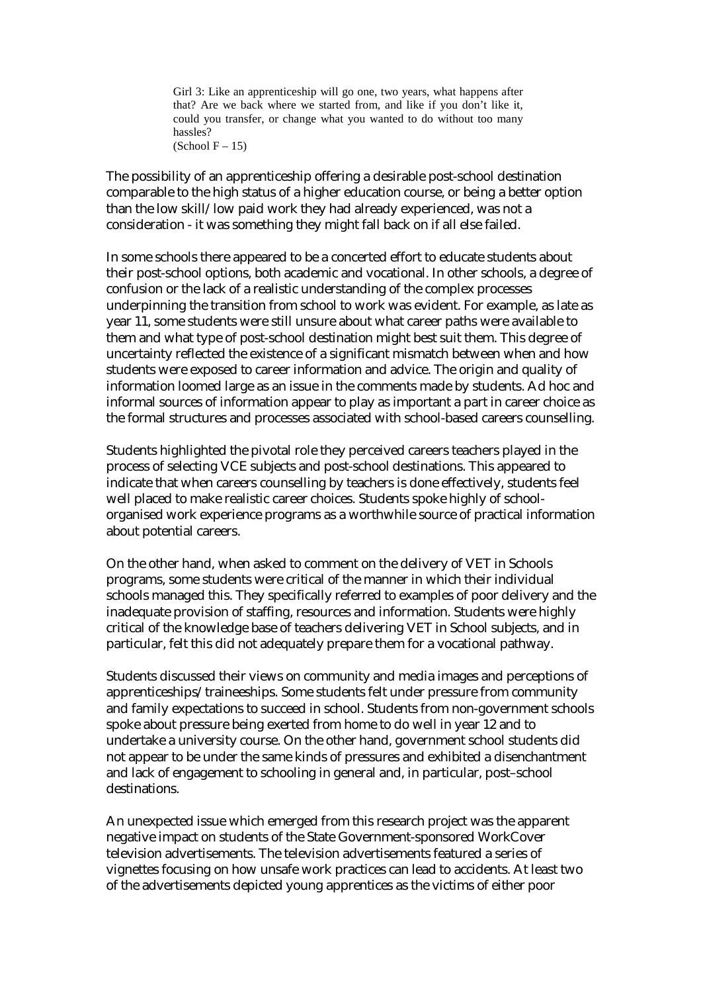Girl 3: Like an apprenticeship will go one, two years, what happens after that? Are we back where we started from, and like if you don't like it, could you transfer, or change what you wanted to do without too many hassles?  $(School F - 15)$ 

The possibility of an apprenticeship offering a desirable post-school destination comparable to the high status of a higher education course, or being a better option than the low skill/low paid work they had already experienced, was not a consideration - it was something they might fall back on if all else failed.

In some schools there appeared to be a concerted effort to educate students about their post-school options, both academic and vocational. In other schools, a degree of confusion or the lack of a realistic understanding of the complex processes underpinning the transition from school to work was evident. For example, as late as year 11, some students were still unsure about what career paths were available to them and what type of post-school destination might best suit them. This degree of uncertainty reflected the existence of a significant mismatch between when and how students were exposed to career information and advice. The origin and quality of information loomed large as an issue in the comments made by students. Ad hoc and informal sources of information appear to play as important a part in career choice as the formal structures and processes associated with school-based careers counselling.

Students highlighted the pivotal role they perceived careers teachers played in the process of selecting VCE subjects and post-school destinations. This appeared to indicate that when careers counselling by teachers is done effectively, students feel well placed to make realistic career choices. Students spoke highly of schoolorganised work experience programs as a worthwhile source of practical information about potential careers.

On the other hand, when asked to comment on the delivery of VET in Schools programs, some students were critical of the manner in which their individual schools managed this. They specifically referred to examples of poor delivery and the inadequate provision of staffing, resources and information. Students were highly critical of the knowledge base of teachers delivering VET in School subjects, and in particular, felt this did not adequately prepare them for a vocational pathway.

Students discussed their views on community and media images and perceptions of apprenticeships/traineeships. Some students felt under pressure from community and family expectations to succeed in school. Students from non-government schools spoke about pressure being exerted from home to do well in year 12 and to undertake a university course. On the other hand, government school students did not appear to be under the same kinds of pressures and exhibited a disenchantment and lack of engagement to schooling in general and, in particular, post–school destinations.

An unexpected issue which emerged from this research project was the apparent negative impact on students of the State Government-sponsored WorkCover television advertisements. The television advertisements featured a series of vignettes focusing on how unsafe work practices can lead to accidents. At least two of the advertisements depicted young apprentices as the victims of either poor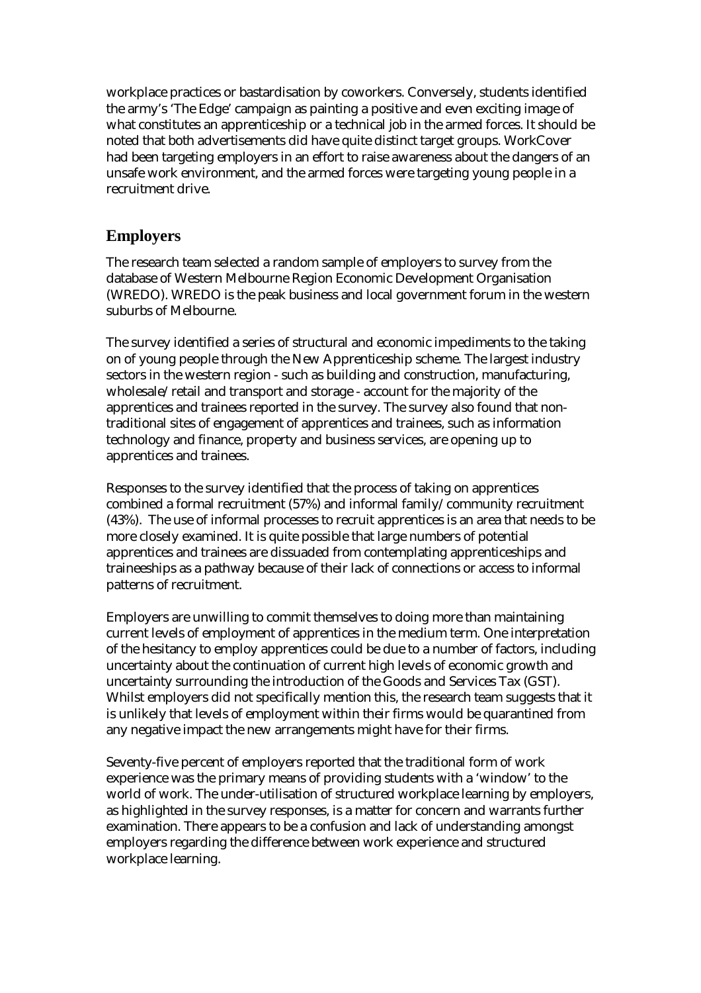workplace practices or bastardisation by coworkers. Conversely, students identified the army's 'The Edge' campaign as painting a positive and even exciting image of what constitutes an apprenticeship or a technical job in the armed forces. It should be noted that both advertisements did have quite distinct target groups. WorkCover had been targeting employers in an effort to raise awareness about the dangers of an unsafe work environment, and the armed forces were targeting young people in a recruitment drive.

## **Employers**

The research team selected a random sample of employers to survey from the database of Western Melbourne Region Economic Development Organisation (WREDO). WREDO is the peak business and local government forum in the western suburbs of Melbourne.

The survey identified a series of structural and economic impediments to the taking on of young people through the New Apprenticeship scheme. The largest industry sectors in the western region - such as building and construction, manufacturing, wholesale/retail and transport and storage - account for the majority of the apprentices and trainees reported in the survey. The survey also found that nontraditional sites of engagement of apprentices and trainees, such as information technology and finance, property and business services, are opening up to apprentices and trainees.

Responses to the survey identified that the process of taking on apprentices combined a formal recruitment (57%) and informal family/community recruitment (43%). The use of informal processes to recruit apprentices is an area that needs to be more closely examined. It is quite possible that large numbers of potential apprentices and trainees are dissuaded from contemplating apprenticeships and traineeships as a pathway because of their lack of connections or access to informal patterns of recruitment.

Employers are unwilling to commit themselves to doing more than maintaining current levels of employment of apprentices in the medium term. One interpretation of the hesitancy to employ apprentices could be due to a number of factors, including uncertainty about the continuation of current high levels of economic growth and uncertainty surrounding the introduction of the Goods and Services Tax (GST). Whilst employers did not specifically mention this, the research team suggests that it is unlikely that levels of employment within their firms would be quarantined from any negative impact the new arrangements might have for their firms.

Seventy-five percent of employers reported that the traditional form of work experience was the primary means of providing students with a 'window' to the world of work. The under-utilisation of structured workplace learning by employers, as highlighted in the survey responses, is a matter for concern and warrants further examination. There appears to be a confusion and lack of understanding amongst employers regarding the difference between work experience and structured workplace learning.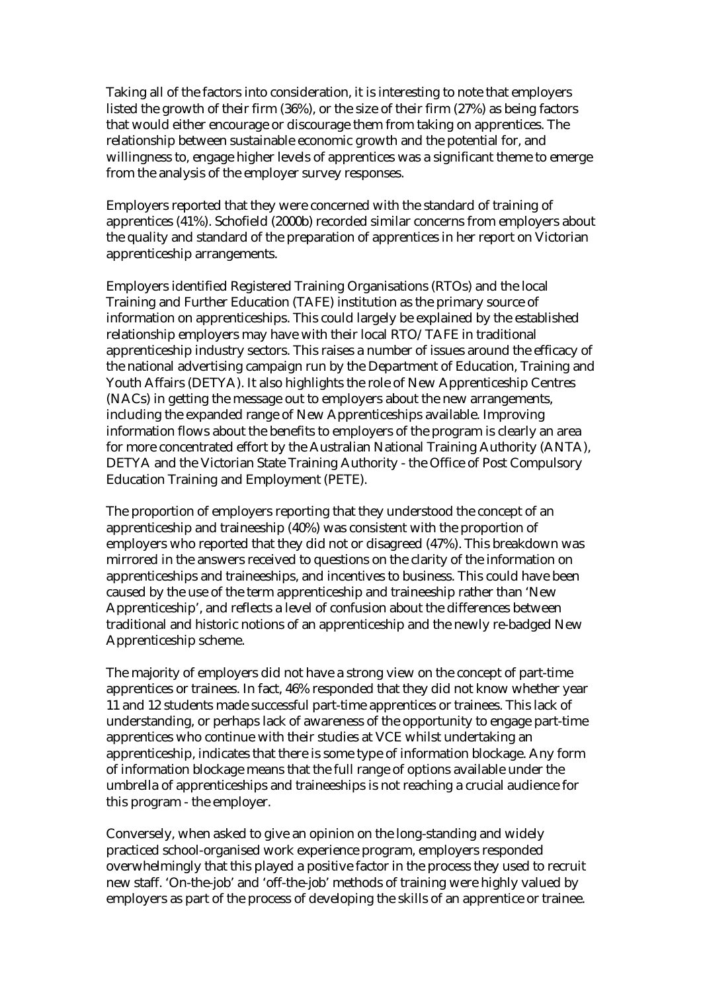Taking all of the factors into consideration, it is interesting to note that employers listed the growth of their firm (36%), or the size of their firm (27%) as being factors that would either encourage or discourage them from taking on apprentices. The relationship between sustainable economic growth and the potential for, and willingness to, engage higher levels of apprentices was a significant theme to emerge from the analysis of the employer survey responses.

Employers reported that they were concerned with the standard of training of apprentices (41%). Schofield (2000b) recorded similar concerns from employers about the quality and standard of the preparation of apprentices in her report on Victorian apprenticeship arrangements.

Employers identified Registered Training Organisations (RTOs) and the local Training and Further Education (TAFE) institution as the primary source of information on apprenticeships. This could largely be explained by the established relationship employers may have with their local RTO/TAFE in traditional apprenticeship industry sectors. This raises a number of issues around the efficacy of the national advertising campaign run by the Department of Education, Training and Youth Affairs (DETYA). It also highlights the role of New Apprenticeship Centres (NACs) in getting the message out to employers about the new arrangements, including the expanded range of New Apprenticeships available. Improving information flows about the benefits to employers of the program is clearly an area for more concentrated effort by the Australian National Training Authority (ANTA), DETYA and the Victorian State Training Authority - the Office of Post Compulsory Education Training and Employment (PETE).

The proportion of employers reporting that they understood the concept of an apprenticeship and traineeship (40%) was consistent with the proportion of employers who reported that they did not or disagreed (47%). This breakdown was mirrored in the answers received to questions on the clarity of the information on apprenticeships and traineeships, and incentives to business. This could have been caused by the use of the term apprenticeship and traineeship rather than 'New Apprenticeship', and reflects a level of confusion about the differences between traditional and historic notions of an apprenticeship and the newly re-badged New Apprenticeship scheme.

The majority of employers did not have a strong view on the concept of part-time apprentices or trainees. In fact, 46% responded that they did not know whether year 11 and 12 students made successful part-time apprentices or trainees. This lack of understanding, or perhaps lack of awareness of the opportunity to engage part-time apprentices who continue with their studies at VCE whilst undertaking an apprenticeship, indicates that there is some type of information blockage. Any form of information blockage means that the full range of options available under the umbrella of apprenticeships and traineeships is not reaching a crucial audience for this program - the employer.

Conversely, when asked to give an opinion on the long-standing and widely practiced school-organised work experience program, employers responded overwhelmingly that this played a positive factor in the process they used to recruit new staff. 'On-the-job' and 'off-the-job' methods of training were highly valued by employers as part of the process of developing the skills of an apprentice or trainee.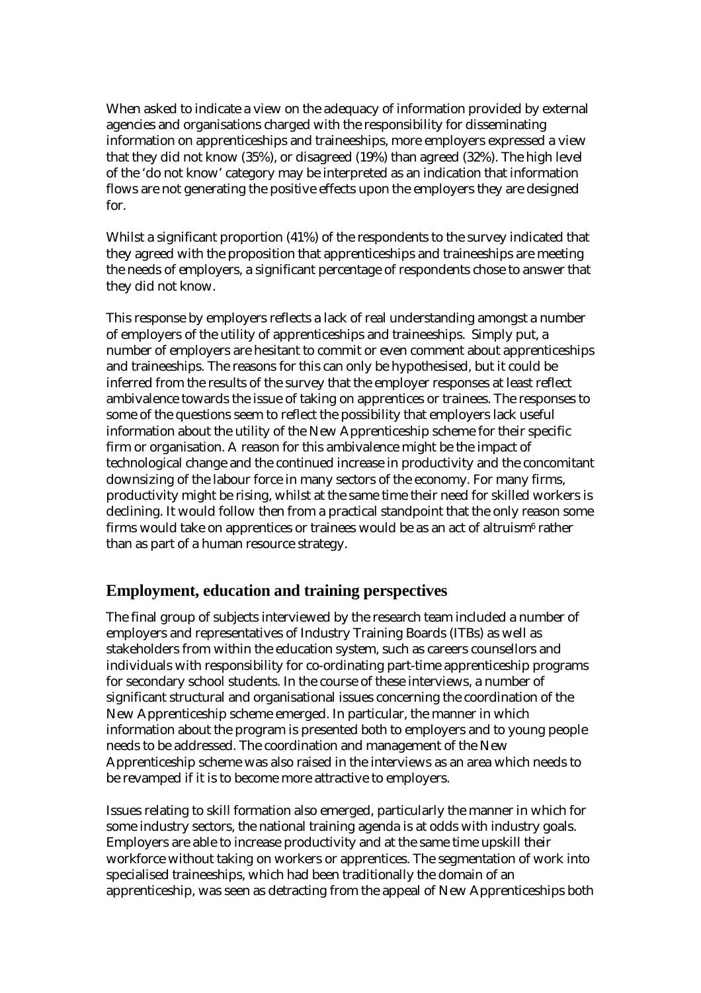When asked to indicate a view on the adequacy of information provided by external agencies and organisations charged with the responsibility for disseminating information on apprenticeships and traineeships, more employers expressed a view that they did not know (35%), or disagreed (19%) than agreed (32%). The high level of the 'do not know' category may be interpreted as an indication that information flows are not generating the positive effects upon the employers they are designed for.

Whilst a significant proportion (41%) of the respondents to the survey indicated that they agreed with the proposition that apprenticeships and traineeships are meeting the needs of employers, a significant percentage of respondents chose to answer that they did not know.

This response by employers reflects a lack of real understanding amongst a number of employers of the utility of apprenticeships and traineeships. Simply put, a number of employers are hesitant to commit or even comment about apprenticeships and traineeships. The reasons for this can only be hypothesised, but it could be inferred from the results of the survey that the employer responses at least reflect ambivalence towards the issue of taking on apprentices or trainees. The responses to some of the questions seem to reflect the possibility that employers lack useful information about the utility of the New Apprenticeship scheme for their specific firm or organisation. A reason for this ambivalence might be the impact of technological change and the continued increase in productivity and the concomitant downsizing of the labour force in many sectors of the economy. For many firms, productivity might be rising, whilst at the same time their need for skilled workers is declining. It would follow then from a practical standpoint that the only reason some firms would take on apprentices or trainees would be as an act of altruism<sup>6</sup> rather than as part of a human resource strategy.

# **Employment, education and training perspectives**

The final group of subjects interviewed by the research team included a number of employers and representatives of Industry Training Boards (ITBs) as well as stakeholders from within the education system, such as careers counsellors and individuals with responsibility for co-ordinating part-time apprenticeship programs for secondary school students. In the course of these interviews, a number of significant structural and organisational issues concerning the coordination of the New Apprenticeship scheme emerged. In particular, the manner in which information about the program is presented both to employers and to young people needs to be addressed. The coordination and management of the New Apprenticeship scheme was also raised in the interviews as an area which needs to be revamped if it is to become more attractive to employers.

Issues relating to skill formation also emerged, particularly the manner in which for some industry sectors, the national training agenda is at odds with industry goals. Employers are able to increase productivity and at the same time upskill their workforce without taking on workers or apprentices. The segmentation of work into specialised traineeships, which had been traditionally the domain of an apprenticeship, was seen as detracting from the appeal of New Apprenticeships both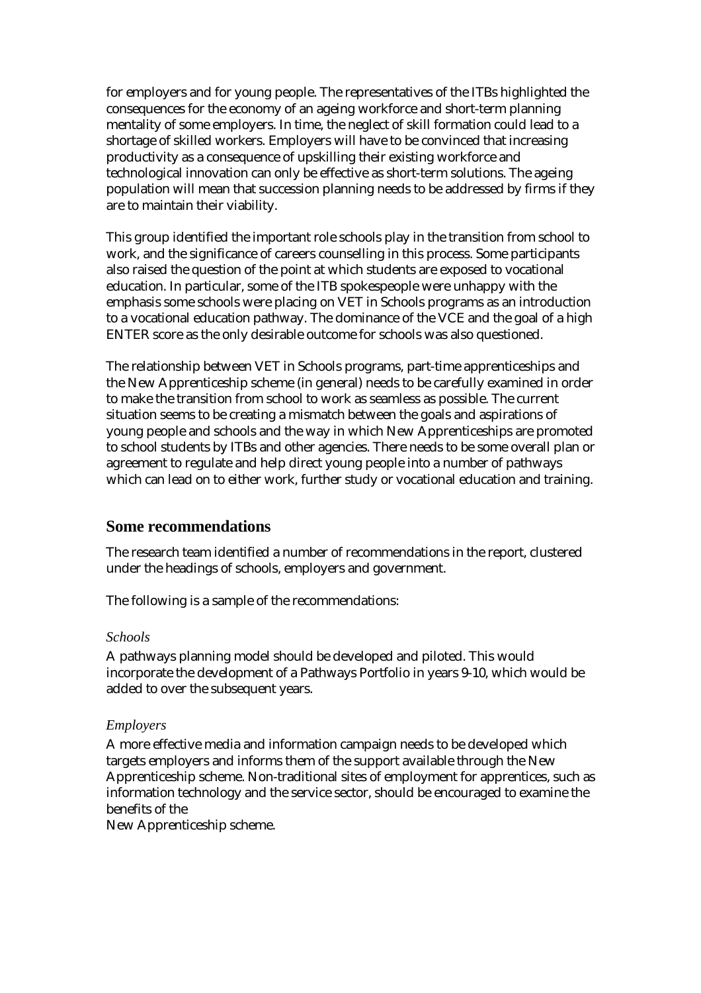for employers and for young people. The representatives of the ITBs highlighted the consequences for the economy of an ageing workforce and short-term planning mentality of some employers. In time, the neglect of skill formation could lead to a shortage of skilled workers. Employers will have to be convinced that increasing productivity as a consequence of upskilling their existing workforce and technological innovation can only be effective as short-term solutions. The ageing population will mean that succession planning needs to be addressed by firms if they are to maintain their viability.

This group identified the important role schools play in the transition from school to work, and the significance of careers counselling in this process. Some participants also raised the question of the point at which students are exposed to vocational education. In particular, some of the ITB spokespeople were unhappy with the emphasis some schools were placing on VET in Schools programs as an introduction to a vocational education pathway. The dominance of the VCE and the goal of a high ENTER score as the only desirable outcome for schools was also questioned.

The relationship between VET in Schools programs, part-time apprenticeships and the New Apprenticeship scheme (in general) needs to be carefully examined in order to make the transition from school to work as seamless as possible. The current situation seems to be creating a mismatch between the goals and aspirations of young people and schools and the way in which New Apprenticeships are promoted to school students by ITBs and other agencies. There needs to be some overall plan or agreement to regulate and help direct young people into a number of pathways which can lead on to either work, further study or vocational education and training.

### **Some recommendations**

The research team identified a number of recommendations in the report, clustered under the headings of schools, employers and government.

The following is a sample of the recommendations:

#### *Schools*

A pathways planning model should be developed and piloted. This would incorporate the development of a Pathways Portfolio in years 9-10, which would be added to over the subsequent years.

#### *Employers*

A more effective media and information campaign needs to be developed which targets employers and informs them of the support available through the New Apprenticeship scheme. Non-traditional sites of employment for apprentices, such as information technology and the service sector, should be encouraged to examine the benefits of the

New Apprenticeship scheme.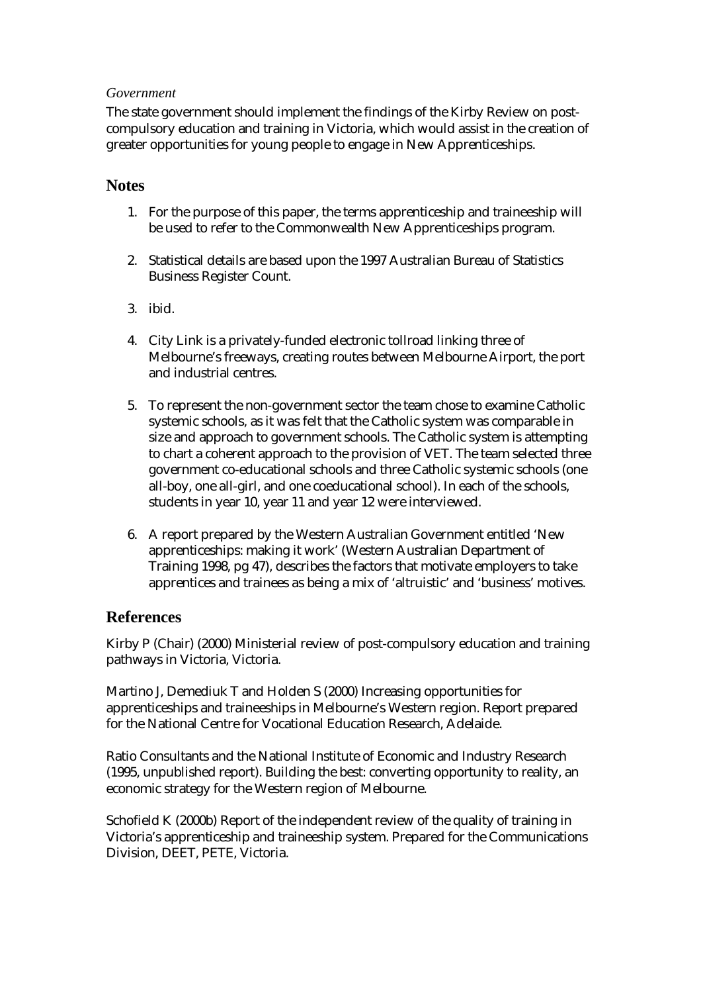#### *Government*

The state government should implement the findings of the Kirby Review on postcompulsory education and training in Victoria, which would assist in the creation of greater opportunities for young people to engage in New Apprenticeships.

## **Notes**

- 1. For the purpose of this paper, the terms apprenticeship and traineeship will be used to refer to the Commonwealth New Apprenticeships program.
- 2. Statistical details are based upon the 1997 Australian Bureau of Statistics Business Register Count.
- 3. ibid.
- 4. City Link is a privately-funded electronic tollroad linking three of Melbourne's freeways, creating routes between Melbourne Airport, the port and industrial centres.
- 5. To represent the non-government sector the team chose to examine Catholic systemic schools, as it was felt that the Catholic system was comparable in size and approach to government schools. The Catholic system is attempting to chart a coherent approach to the provision of VET. The team selected three government co-educational schools and three Catholic systemic schools (one all-boy, one all-girl, and one coeducational school). In each of the schools, students in year 10, year 11 and year 12 were interviewed.
- 6. A report prepared by the Western Australian Government entitled 'New apprenticeships: making it work' (Western Australian Department of Training 1998, pg 47), describes the factors that motivate employers to take apprentices and trainees as being a mix of 'altruistic' and 'business' motives.

### **References**

Kirby P (Chair) (2000) Ministerial review of post-compulsory education and training pathways in Victoria, Victoria.

Martino J, Demediuk T and Holden S (2000) Increasing opportunities for apprenticeships and traineeships in Melbourne's Western region. Report prepared for the National Centre for Vocational Education Research, Adelaide.

Ratio Consultants and the National Institute of Economic and Industry Research (1995, unpublished report). Building the best: converting opportunity to reality, an economic strategy for the Western region of Melbourne.

Schofield K (2000b) Report of the independent review of the quality of training in Victoria's apprenticeship and traineeship system. Prepared for the Communications Division, DEET, PETE, Victoria.